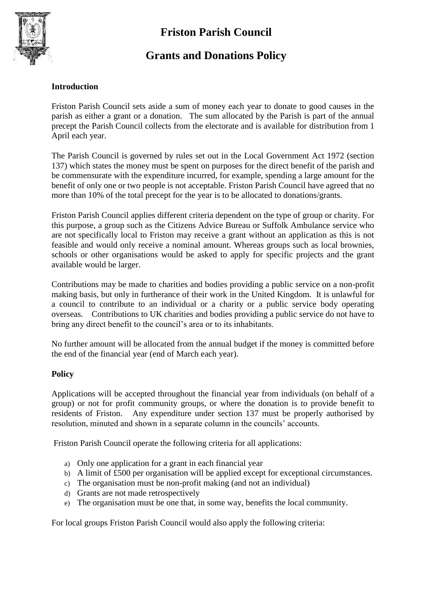# **Friston Parish Council**



### **Grants and Donations Policy**

#### **Introduction**

Friston Parish Council sets aside a sum of money each year to donate to good causes in the parish as either a grant or a donation. The sum allocated by the Parish is part of the annual precept the Parish Council collects from the electorate and is available for distribution from 1 April each year.

The Parish Council is governed by rules set out in the Local Government Act 1972 (section 137) which states the money must be spent on purposes for the direct benefit of the parish and be commensurate with the expenditure incurred, for example, spending a large amount for the benefit of only one or two people is not acceptable. Friston Parish Council have agreed that no more than 10% of the total precept for the year is to be allocated to donations/grants.

Friston Parish Council applies different criteria dependent on the type of group or charity. For this purpose, a group such as the Citizens Advice Bureau or Suffolk Ambulance service who are not specifically local to Friston may receive a grant without an application as this is not feasible and would only receive a nominal amount. Whereas groups such as local brownies, schools or other organisations would be asked to apply for specific projects and the grant available would be larger.

Contributions may be made to charities and bodies providing a public service on a non-profit making basis, but only in furtherance of their work in the United Kingdom. It is unlawful for a council to contribute to an individual or a charity or a public service body operating overseas. Contributions to UK charities and bodies providing a public service do not have to bring any direct benefit to the council's area or to its inhabitants.

No further amount will be allocated from the annual budget if the money is committed before the end of the financial year (end of March each year).

#### **Policy**

Applications will be accepted throughout the financial year from individuals (on behalf of a group) or not for profit community groups, or where the donation is to provide benefit to residents of Friston. Any expenditure under section 137 must be properly authorised by resolution, minuted and shown in a separate column in the councils' accounts.

Friston Parish Council operate the following criteria for all applications:

- a) Only one application for a grant in each financial year
- b) A limit of £500 per organisation will be applied except for exceptional circumstances.
- c) The organisation must be non-profit making (and not an individual)
- d) Grants are not made retrospectively
- e) The organisation must be one that, in some way, benefits the local community.

For local groups Friston Parish Council would also apply the following criteria: